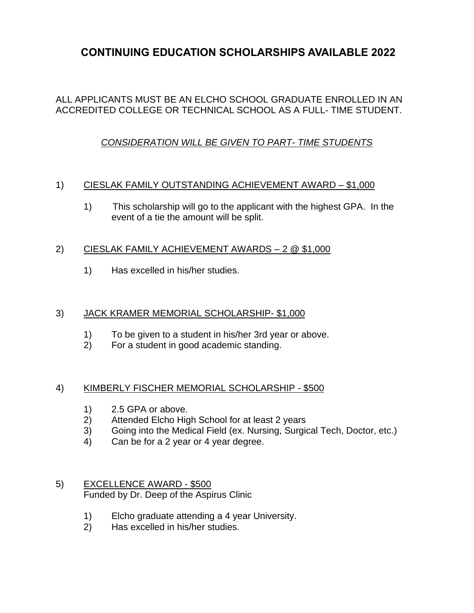# **CONTINUING EDUCATION SCHOLARSHIPS AVAILABLE 2022**

### ALL APPLICANTS MUST BE AN ELCHO SCHOOL GRADUATE ENROLLED IN AN ACCREDITED COLLEGE OR TECHNICAL SCHOOL AS A FULL- TIME STUDENT.

# *CONSIDERATION WILL BE GIVEN TO PART- TIME STUDENTS*

#### 1) CIESLAK FAMILY OUTSTANDING ACHIEVEMENT AWARD – \$1,000

1) This scholarship will go to the applicant with the highest GPA. In the event of a tie the amount will be split.

#### 2) CIESLAK FAMILY ACHIEVEMENT AWARDS – 2 @ \$1,000

1) Has excelled in his/her studies.

#### 3) JACK KRAMER MEMORIAL SCHOLARSHIP- \$1,000

- 1) To be given to a student in his/her 3rd year or above.<br>2) For a student in good academic standing.
- 2) For a student in good academic standing.

#### 4) KIMBERLY FISCHER MEMORIAL SCHOLARSHIP - \$500

- 1) 2.5 GPA or above.
- 2) Attended Elcho High School for at least 2 years
- 3) Going into the Medical Field (ex. Nursing, Surgical Tech, Doctor, etc.)
- 4) Can be for a 2 year or 4 year degree.

#### 5) EXCELLENCE AWARD - \$500 Funded by Dr. Deep of the Aspirus Clinic

- 1) Elcho graduate attending a 4 year University.
- 2) Has excelled in his/her studies.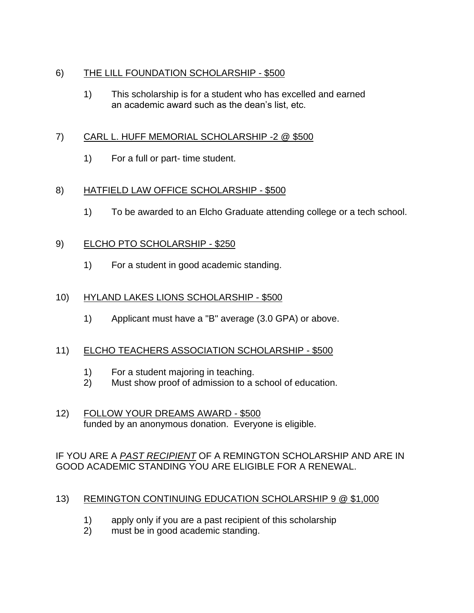# 6) THE LILL FOUNDATION SCHOLARSHIP - \$500

1) This scholarship is for a student who has excelled and earned an academic award such as the dean's list, etc.

# 7) CARL L. HUFF MEMORIAL SCHOLARSHIP -2 @ \$500

1) For a full or part- time student.

# 8) HATFIELD LAW OFFICE SCHOLARSHIP - \$500

1) To be awarded to an Elcho Graduate attending college or a tech school.

# 9) ELCHO PTO SCHOLARSHIP - \$250

1) For a student in good academic standing.

# 10) HYLAND LAKES LIONS SCHOLARSHIP - \$500

1) Applicant must have a "B" average (3.0 GPA) or above.

### 11) ELCHO TEACHERS ASSOCIATION SCHOLARSHIP - \$500

- 1) For a student majoring in teaching.
- 2) Must show proof of admission to a school of education.
- 12) FOLLOW YOUR DREAMS AWARD \$500 funded by an anonymous donation. Everyone is eligible.

IF YOU ARE A *PAST RECIPIENT* OF A REMINGTON SCHOLARSHIP AND ARE IN GOOD ACADEMIC STANDING YOU ARE ELIGIBLE FOR A RENEWAL.

### 13) REMINGTON CONTINUING EDUCATION SCHOLARSHIP 9 @ \$1,000

- 1) apply only if you are a past recipient of this scholarship
- 2) must be in good academic standing.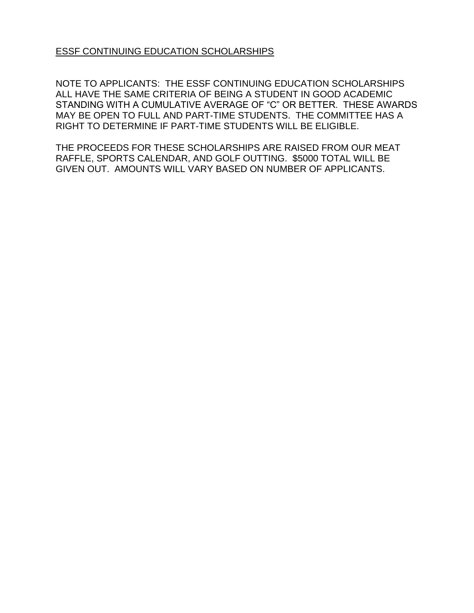ESSF CONTINUING EDUCATION SCHOLARSHIPS

NOTE TO APPLICANTS: THE ESSF CONTINUING EDUCATION SCHOLARSHIPS ALL HAVE THE SAME CRITERIA OF BEING A STUDENT IN GOOD ACADEMIC STANDING WITH A CUMULATIVE AVERAGE OF "C" OR BETTER. THESE AWARDS MAY BE OPEN TO FULL AND PART-TIME STUDENTS. THE COMMITTEE HAS A RIGHT TO DETERMINE IF PART-TIME STUDENTS WILL BE ELIGIBLE.

THE PROCEEDS FOR THESE SCHOLARSHIPS ARE RAISED FROM OUR MEAT RAFFLE, SPORTS CALENDAR, AND GOLF OUTTING. \$5000 TOTAL WILL BE GIVEN OUT. AMOUNTS WILL VARY BASED ON NUMBER OF APPLICANTS.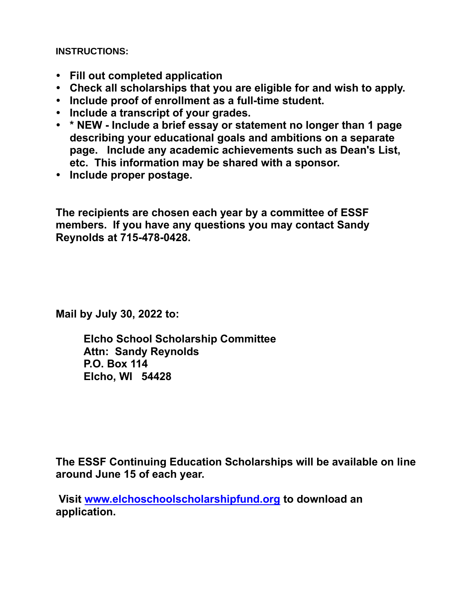**INSTRUCTIONS:**

- **Fill out completed application**
- **Check all scholarships that you are eligible for and wish to apply.**
- **Include proof of enrollment as a full-time student.**
- **Include a transcript of your grades.**
- **\* NEW - Include a brief essay or statement no longer than 1 page describing your educational goals and ambitions on a separate page. Include any academic achievements such as Dean's List, etc. This information may be shared with a sponsor.**
- **Include proper postage.**

**The recipients are chosen each year by a committee of ESSF members. If you have any questions you may contact Sandy Reynolds at 715-478-0428.**

**Mail by July 30, 2022 to:**

**Elcho School Scholarship Committee Attn: Sandy Reynolds P.O. Box 114 Elcho, WI 54428**

**The ESSF Continuing Education Scholarships will be available on line around June 15 of each year.** 

**Visit [www.elchoschoolscholarshipfund.org](http://www.elchoschoolscholarshipfund.org/) to download an application.**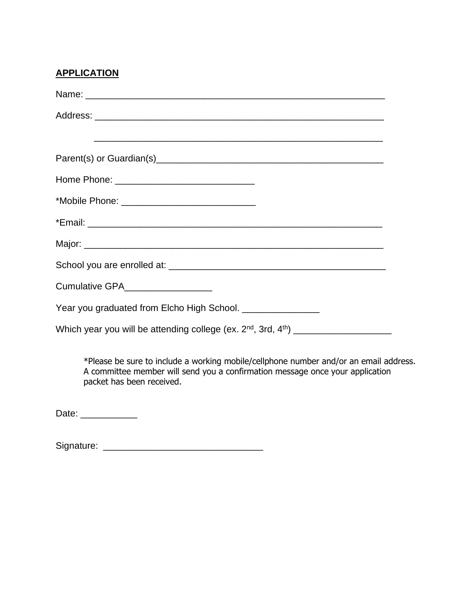# **APPLICATION**

| Cumulative GPA__________________                           |
|------------------------------------------------------------|
| Year you graduated from Elcho High School. _______________ |
|                                                            |

\*Please be sure to include a working mobile/cellphone number and/or an email address. A committee member will send you a confirmation message once your application packet has been received.

Date: \_\_\_\_\_\_\_\_\_\_\_\_\_

Signature: \_\_\_\_\_\_\_\_\_\_\_\_\_\_\_\_\_\_\_\_\_\_\_\_\_\_\_\_\_\_\_